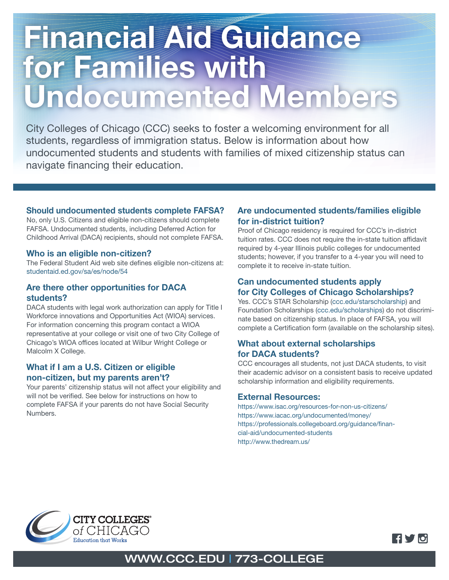# Financial Aid Guidance for Families with Undocumented Members

City Colleges of Chicago (CCC) seeks to foster a welcoming environment for all students, regardless of immigration status. Below is information about how undocumented students and students with families of mixed citizenship status can navigate financing their education.

#### Should undocumented students complete FAFSA?

No, only U.S. Citizens and eligible non-citizens should complete FAFSA. Undocumented students, including Deferred Action for Childhood Arrival (DACA) recipients, should not complete FAFSA.

#### Who is an eligible non-citizen?

The Federal Student Aid web site defines eligible non-citizens at: studentaid.ed.gov/sa/es/node/54

#### Are there other opportunities for DACA students?

DACA students with legal work authorization can apply for Title I Workforce innovations and Opportunities Act (WIOA) services. For information concerning this program contact a WIOA representative at your college or visit one of two City College of Chicago's WIOA offices located at Wilbur Wright College or Malcolm X College.

#### What if I am a U.S. Citizen or eligible non-citizen, but my parents aren't?

Your parents' citizenship status will not affect your eligibility and will not be verified. See below for instructions on how to complete FAFSA if your parents do not have Social Security Numbers.

#### Are undocumented students/families eligible for in-district tuition?

Proof of Chicago residency is required for CCC's in-district tuition rates. CCC does not require the in-state tuition affidavit required by 4-year Illinois public colleges for undocumented students; however, if you transfer to a 4-year you will need to complete it to receive in-state tuition.

#### Can undocumented students apply for City Colleges of Chicago Scholarships?

Yes. CCC's STAR Scholarship (ccc.edu/starscholarship) and Foundation Scholarships (ccc.edu/scholarships) do not discriminate based on citizenship status. In place of FAFSA, you will complete a Certification form (available on the scholarship sites).

#### What about external scholarships for DACA students?

CCC encourages all students, not just DACA students, to visit their academic advisor on a consistent basis to receive updated scholarship information and eligibility requirements.

#### External Resources:

https://www.isac.org/resources-for-non-us-citizens/ https://www.iacac.org/undocumented/money/ https://professionals.collegeboard.org/guidance/financial-aid/undocumented-students http://www.thedream.us/





## WWW.CCC.EDU | 773-COLLEGE